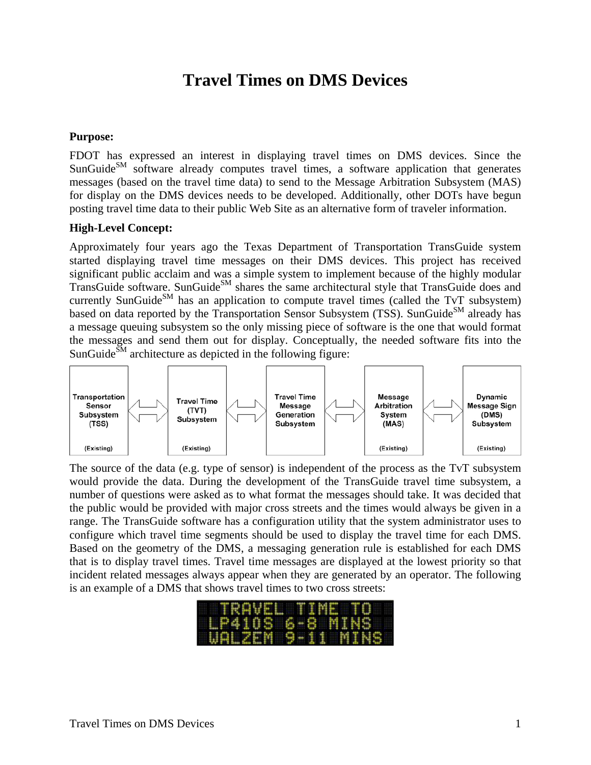## **Travel Times on DMS Devices**

## **Purpose:**

FDOT has expressed an interest in displaying travel times on DMS devices. Since the  $SunGuide<sup>SM</sup> software already computes travel times, a software application that generates$ messages (based on the travel time data) to send to the Message Arbitration Subsystem (MAS) for display on the DMS devices needs to be developed. Additionally, other DOTs have begun posting travel time data to their public Web Site as an alternative form of traveler information.

## **High-Level Concept:**

Approximately four years ago the Texas Department of Transportation TransGuide system started displaying travel time messages on their DMS devices. This project has received significant public acclaim and was a simple system to implement because of the highly modular TransGuide software. SunGuide<sup>SM</sup> shares the same architectural style that TransGuide does and currently SunGuide<sup>SM</sup> has an application to compute travel times (called the TvT subsystem) based on data reported by the Transportation Sensor Subsystem (TSS). SunGuide<sup>SM</sup> already has a message queuing subsystem so the only missing piece of software is the one that would format the messages and send them out for display. Conceptually, the needed software fits into the SunGuide $\overline{S}^{M}$  architecture as depicted in the following figure:



The source of the data (e.g. type of sensor) is independent of the process as the TvT subsystem would provide the data. During the development of the TransGuide travel time subsystem, a number of questions were asked as to what format the messages should take. It was decided that the public would be provided with major cross streets and the times would always be given in a range. The TransGuide software has a configuration utility that the system administrator uses to configure which travel time segments should be used to display the travel time for each DMS. Based on the geometry of the DMS, a messaging generation rule is established for each DMS that is to display travel times. Travel time messages are displayed at the lowest priority so that incident related messages always appear when they are generated by an operator. The following is an example of a DMS that shows travel times to two cross streets:

|                         |  |  |  |  |  |  |  | HRABAH MATAHIO I |  |
|-------------------------|--|--|--|--|--|--|--|------------------|--|
| <b>ILP410S 6-8 MINS</b> |  |  |  |  |  |  |  |                  |  |
| HUTIKAT BELIHITANG      |  |  |  |  |  |  |  |                  |  |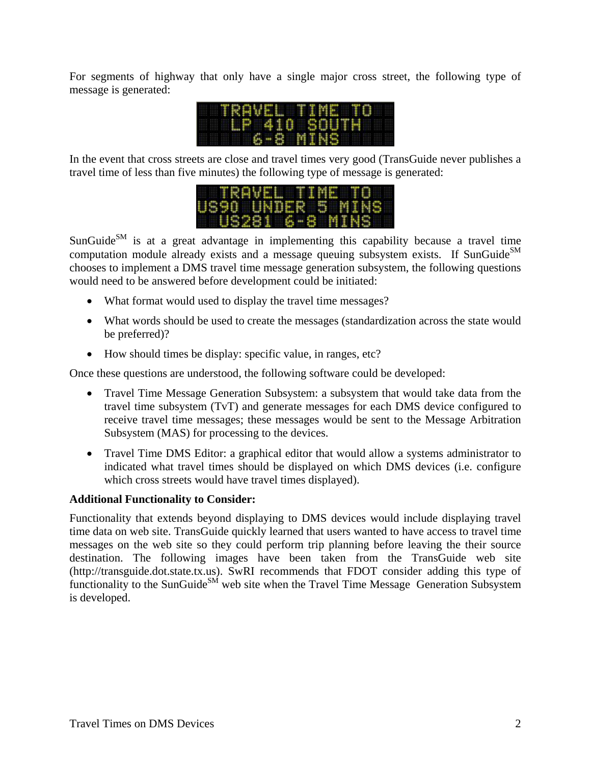For segments of highway that only have a single major cross street, the following type of message is generated:



In the event that cross streets are close and travel times very good (TransGuide never publishes a travel time of less than five minutes) the following type of message is generated:



 $SunGuide<sub>SM</sub>$  is at a great advantage in implementing this capability because a travel time computation module already exists and a message queuing subsystem exists. If SunGuide<sup>SM</sup> chooses to implement a DMS travel time message generation subsystem, the following questions would need to be answered before development could be initiated:

- What format would used to display the travel time messages?
- What words should be used to create the messages (standardization across the state would be preferred)?
- How should times be display: specific value, in ranges, etc?

Once these questions are understood, the following software could be developed:

- Travel Time Message Generation Subsystem: a subsystem that would take data from the travel time subsystem (TvT) and generate messages for each DMS device configured to receive travel time messages; these messages would be sent to the Message Arbitration Subsystem (MAS) for processing to the devices.
- Travel Time DMS Editor: a graphical editor that would allow a systems administrator to indicated what travel times should be displayed on which DMS devices (i.e. configure which cross streets would have travel times displayed).

## **Additional Functionality to Consider:**

Functionality that extends beyond displaying to DMS devices would include displaying travel time data on web site. TransGuide quickly learned that users wanted to have access to travel time messages on the web site so they could perform trip planning before leaving the their source destination. The following images have been taken from the TransGuide web site (http://transguide.dot.state.tx.us). SwRI recommends that FDOT consider adding this type of functionality to the SunGuide<sup>SM</sup> web site when the Travel Time Message Generation Subsystem is developed.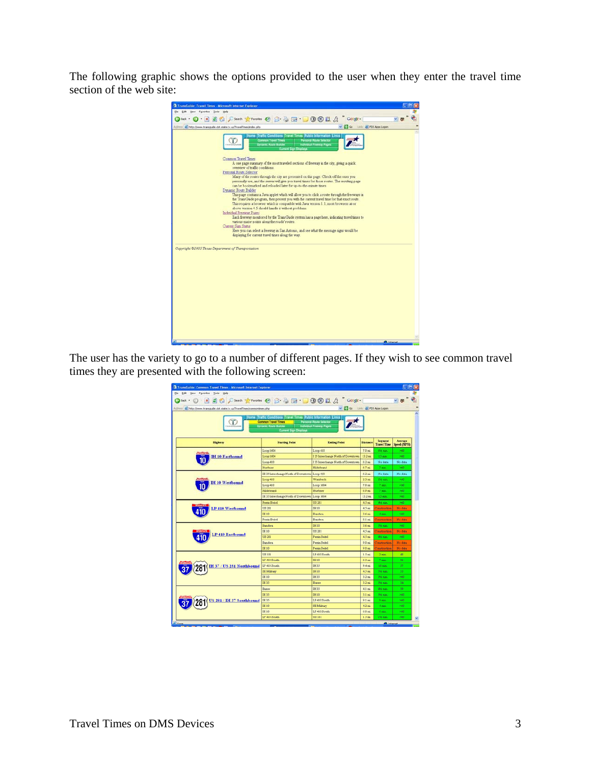The following graphic shows the options provided to the user when they enter the travel time section of the web site:



The user has the variety to go to a number of different pages. If they wish to see common travel times they are presented with the following screen:

| <sup>2</sup> TransGuide: Common Travel Times - Microsoft Internet Explorer<br>Elle Edit View Favorites Tools Help |                                                                                                                                                             |                                                            |                    |                               |                        |
|-------------------------------------------------------------------------------------------------------------------|-------------------------------------------------------------------------------------------------------------------------------------------------------------|------------------------------------------------------------|--------------------|-------------------------------|------------------------|
| Otax · ① 国国信 Pierra h Premotes ④ B B 国· ■ ③ ③ II B Songle                                                         |                                                                                                                                                             |                                                            |                    |                               |                        |
| Agdress (a) http://www.transquide.dot.state.tu.us/TravelTimes/commontines.php                                     |                                                                                                                                                             | Go Livis @ FDS Apps Logon                                  |                    |                               |                        |
| ï                                                                                                                 | Home Traffic Conditions Travel Times Public Information Links<br><b>Common Travel Times</b><br><b>Dynamic Route Builder</b><br><b>Current Sign Disclays</b> | <b>Personal Route Selector</b><br>Individual Fineway Pages |                    |                               |                        |
| <b>Highway</b>                                                                                                    | <b>Starting Point</b>                                                                                                                                       | <b>Ending Point</b>                                        | <b>Distance</b>    | Segment<br><b>Travel Time</b> | Average<br>Speed (MPH) |
|                                                                                                                   | Loop 1604                                                                                                                                                   | Loco 410                                                   | 70m                | this man.                     | <b>SHO</b>             |
| <b>IH 10 Fastbound</b>                                                                                            | Loop 1604                                                                                                                                                   | I 35 Interchange North of Downtown                         | 13.2 mi            | <b>B</b> ran                  | -60                    |
|                                                                                                                   | Loop 410                                                                                                                                                    | I 35 Interchange North of Downtown                         | 6.2 m <sub>4</sub> | No date                       | No data                |
|                                                                                                                   | Husbase                                                                                                                                                     | <b>Hildsbeard</b>                                          | $6.7$ mi           | 7 min.                        | Ho                     |
|                                                                                                                   | IH 35 Interchange North of Downtown Loop 410                                                                                                                |                                                            | 62m                | No.data                       | No data                |
|                                                                                                                   | Loop 410                                                                                                                                                    | Wurzbach                                                   | 23 <sub>mi</sub>   | 26 run.                       | 540                    |
| <b>H</b> 10 Westbound                                                                                             | Loop 410                                                                                                                                                    | Loop 1604                                                  | 70 <sub>min</sub>  | 7 min.                        | 200                    |
|                                                                                                                   | <b>Hiddebrand</b>                                                                                                                                           | Husbass                                                    | 69m                | 7 sept.                       | 340                    |
|                                                                                                                   | IH 35 Interchange North of Downtown Loop 1604                                                                                                               |                                                            | 13.2 mi            | 13 mm                         | with.                  |
|                                                                                                                   | Perron Beitel                                                                                                                                               | <b>US 281</b>                                              | 4.5 <sub>xx</sub>  | <b>Alt earl</b>               | 540                    |
| P 410 Westbound                                                                                                   | US 281                                                                                                                                                      | <b>IH 10</b>                                               | 4.5 m <sub>i</sub> | <b>construction</b>           | No data                |
|                                                                                                                   | DC 10                                                                                                                                                       | Bandera                                                    | 3.6 <sub>mt</sub>  | 4 min.                        | > 0                    |
|                                                                                                                   | Pemin Beitel                                                                                                                                                | Bandera                                                    | 3.1 m <sub>i</sub> | <b>Construction</b>           | No data                |
|                                                                                                                   | Bandera                                                                                                                                                     | <b>IH 10</b>                                               | 36m                | 3th run                       | 540                    |
| <b>LP 410 Eastbound</b>                                                                                           | IH 10                                                                                                                                                       | U3 281                                                     | 45 <sub>min</sub>  | <b>Construction</b>           | No data                |
|                                                                                                                   | US 281                                                                                                                                                      | Perrin Beitel                                              | $4.5$ mi           | 46 ren.                       | > 60                   |
|                                                                                                                   | Bandera                                                                                                                                                     | <b>Permin Beitel</b>                                       | 9.0 mi             | Construction                  | No data                |
|                                                                                                                   | <b>IH 10</b>                                                                                                                                                | <b>Perrin Beitel</b>                                       | 9.0 mi             | Construction                  | No data                |
|                                                                                                                   | US 181                                                                                                                                                      | LP 410 South                                               | $1.5$ mi           | 2 min.                        | 48                     |
|                                                                                                                   | LP 410 South                                                                                                                                                | <b>IH 10</b>                                               | 63 <sub>min</sub>  | 7 min.                        | 56                     |
| IH 37 / US 281 Northbound                                                                                         | LP 410 South                                                                                                                                                | IH 35                                                      | 9.4 mi             | $10 \text{ min}$              | 57                     |
|                                                                                                                   | SE Military                                                                                                                                                 | IH 10                                                      | 4.5 m <sub>i</sub> | 96 run                        | 53.                    |
|                                                                                                                   | DE 10                                                                                                                                                       | TH 35                                                      | 3.2 m <sub>6</sub> | 3% nun                        | 760                    |
|                                                                                                                   | IH 35                                                                                                                                                       | <b>Basse</b>                                               | 3.2                | 3% run                        | 54                     |
|                                                                                                                   | Basse                                                                                                                                                       | IH 35                                                      | $41$ mi            | 46 rún                        | 59                     |
|                                                                                                                   | DC 35                                                                                                                                                       | <b>IH 10</b>                                               | 3.1 m <sub>i</sub> | 3% nin                        | 200                    |
| US 281 / IH 37 Southbound                                                                                         | IH 35                                                                                                                                                       | LP 410 South                                               | 9.1 m <sub>4</sub> | 9 min.                        | 360                    |
|                                                                                                                   | IH 10                                                                                                                                                       | SE Military                                                | 42m                | 4 min.                        | > 60                   |
|                                                                                                                   | IH 10                                                                                                                                                       | LP 410 South                                               | $60$ mi            | 6 min.                        | >60                    |
|                                                                                                                   | LP 410 South                                                                                                                                                |                                                            |                    |                               |                        |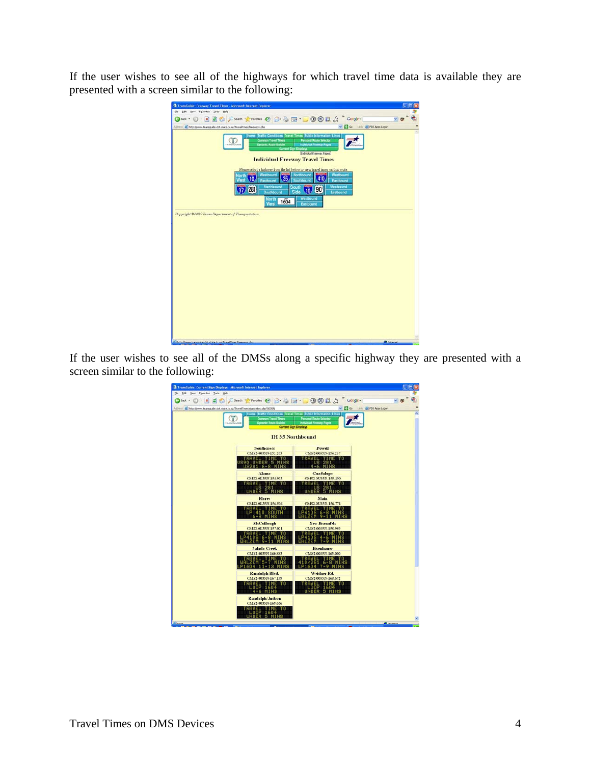If the user wishes to see all of the highways for which travel time data is available they are presented with a screen similar to the following:

| TransGuide: Freeway Travel Times - Microsoft Internet Explorer<br>Elle Edit View Favorites Tools Help                                                                                                                                                                                                                                                           |  |
|-----------------------------------------------------------------------------------------------------------------------------------------------------------------------------------------------------------------------------------------------------------------------------------------------------------------------------------------------------------------|--|
| BEC Dent treated 0 8 3 B B 0 0 11 A " Coope-<br>(3 Back + (2)                                                                                                                                                                                                                                                                                                   |  |
| v 3 Go Livis & PDS Apps Logon<br>Agdress (a) http://www.transguide.dot.state.tx.us/TravelTimes/freeways.php                                                                                                                                                                                                                                                     |  |
|                                                                                                                                                                                                                                                                                                                                                                 |  |
| Home Traffic Conditions Travel Times Public Information Links<br><b>Common Travel Times</b><br><b>Personal Route Selector</b><br>т<br><b>Dynamic Route Builder</b><br>Individual Freeway Pages<br><b>Current Sign Displays</b><br>Individual Freeway Pages                                                                                                      |  |
| <b>Individual Freeway Travel Times</b>                                                                                                                                                                                                                                                                                                                          |  |
| Flease select a highway from the list below to view travel times on that route.<br>Northbound<br>Westbound<br>Westbound<br>iorth<br>35.<br>410<br>10<br>West<br>Eastbound<br>Southbound<br>Eastbound<br>Northbound<br>Westbound<br>South<br>281<br>190<br>10 <sub>1</sub><br>Side<br>Southbound<br>Eastbound<br>Westbound<br>North<br>1604<br>West<br>Eastbound |  |
|                                                                                                                                                                                                                                                                                                                                                                 |  |
|                                                                                                                                                                                                                                                                                                                                                                 |  |
| Copyright @2005 Texas Department of Transportation                                                                                                                                                                                                                                                                                                              |  |
|                                                                                                                                                                                                                                                                                                                                                                 |  |
|                                                                                                                                                                                                                                                                                                                                                                 |  |
|                                                                                                                                                                                                                                                                                                                                                                 |  |
|                                                                                                                                                                                                                                                                                                                                                                 |  |
|                                                                                                                                                                                                                                                                                                                                                                 |  |
|                                                                                                                                                                                                                                                                                                                                                                 |  |
|                                                                                                                                                                                                                                                                                                                                                                 |  |
|                                                                                                                                                                                                                                                                                                                                                                 |  |
|                                                                                                                                                                                                                                                                                                                                                                 |  |
|                                                                                                                                                                                                                                                                                                                                                                 |  |
|                                                                                                                                                                                                                                                                                                                                                                 |  |
|                                                                                                                                                                                                                                                                                                                                                                 |  |
|                                                                                                                                                                                                                                                                                                                                                                 |  |
|                                                                                                                                                                                                                                                                                                                                                                 |  |
|                                                                                                                                                                                                                                                                                                                                                                 |  |
|                                                                                                                                                                                                                                                                                                                                                                 |  |

If the user wishes to see all of the DMSs along a specific highway they are presented with a screen similar to the following:

| TransGuide: Corrent Sign Displays - Microsoft Internet Explorer                       |                                                                                                                                                             |
|---------------------------------------------------------------------------------------|-------------------------------------------------------------------------------------------------------------------------------------------------------------|
| the tisk year Favories Tools two                                                      |                                                                                                                                                             |
| 国伯 Dienth grandes ④ B B B 1 B B L B Congle<br>ы<br>Called .                           |                                                                                                                                                             |
| Agdress (a) http://www.transguide.dot.state.tr.us/TravelTines/signstatus.php?003fM    | Go Livis @ PDS Apps Logon                                                                                                                                   |
| π<br><b>Common Travel Times</b><br><b>Dynamic Route Builder</b><br><b>MANUFACINES</b> | Home Traffic Conditions Travel Times Public Information Links<br><b>Personal Route Selector</b><br>Individual Freeway Pages<br><b>Current Sign Displays</b> |
|                                                                                       | <b>IH 35 Northbound</b>                                                                                                                                     |
| <b>Southeross</b>                                                                     | <b>Powell</b>                                                                                                                                               |
| CMS2-0035N-152 203<br>RAVEL TIME                                                      | CMS2-0035N-154.267<br>TRAVEL TIME TO                                                                                                                        |
| <b>O UNDER 5</b><br>6-8<br>ו גי                                                       | US 281                                                                                                                                                      |
| Alamo                                                                                 | Guadalupe                                                                                                                                                   |
| CMS2-0135N-154.933<br><b>TRAVEL TIME TO</b><br><b>US 281</b>                          | CMS2-0U35N-155.190<br>TRAVEL TIME TO<br><b>US 281</b>                                                                                                       |
| UNDER 5 MIN<br>Flores                                                                 | UNDER 5 MINS<br>Main                                                                                                                                        |
| CMS2-0L35N-156.536                                                                    | CMS2-0U35N-156.771                                                                                                                                          |
| RAVEL TIME TO<br><b>P 410 SOUTH</b><br>6-8 MINS                                       | RAVEL<br>TIMF<br>6<br>9                                                                                                                                     |
| McCullough                                                                            | <b>New Braunfels</b>                                                                                                                                        |
| CMS2-0L35N-157.021<br>AVEL TIME TO                                                    | CMS2-0035N-158.989<br>AVEL TIME!                                                                                                                            |
| 10S 6-8 MINS<br>$9 - 11$<br>M                                                         | - 9                                                                                                                                                         |
| <b>Salado Creek</b><br>CMS2-0035N-160 883                                             | <b>Fisenhauer</b><br>CMS2-0035N-165.090                                                                                                                     |
| IAVEL TIME                                                                            | TIME                                                                                                                                                        |
| ZEM 5-7 M<br>1604 11-13                                                               | 6-8 M<br>1604 7-9                                                                                                                                           |
| Randolph Blvd.                                                                        | Weidner Rd.                                                                                                                                                 |
| CMS2-0035N-167.199                                                                    | CMS2-0035N-168.672                                                                                                                                          |
| AVEL TIME<br>LOOP 1604<br>4-6 MINS                                                    | то<br>.00P<br>1604<br>UNDER 5 MINS                                                                                                                          |
| <b>Randolph Judson</b>                                                                |                                                                                                                                                             |
| CMS2-0035N-169.656<br><b>AVEL TIME TO</b>                                             |                                                                                                                                                             |
| OOP 1604<br>FR<br>MINS                                                                |                                                                                                                                                             |
| <b>Stress</b>                                                                         | <b>Childrena</b>                                                                                                                                            |